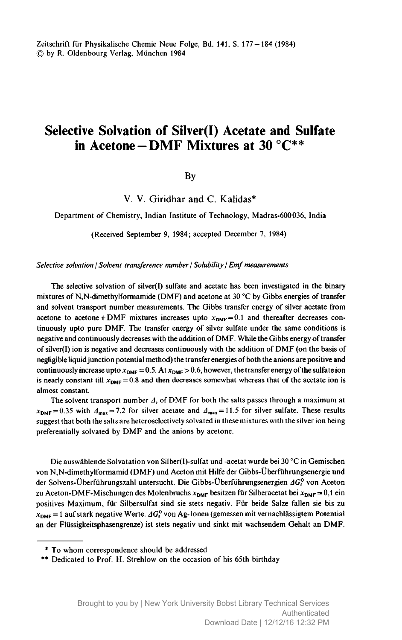Zeitschrift fur Physikalische Chemie Neue Folge, Bd. 141, S. 177-184 (1984) © by R. Oldenbourg Verlag, Munchen <sup>1984</sup>

# Selective Solvation of Silver(I) Acetate and Sulfate in Acetone-DMF Mixtures at 30 °C\*\*

By

V. V. Giridhar and C. Kalidas\*

Department of Chemistry, Indian Institute of Technology, Madras-600036, India

(Received September 9, 1984; accepted December 7, 1984)

Selective solvation / Solvent transference number / Solubility / Emf measurements

The selective solvation of silver(I) sulfate and acetate has been investigated in the binary mixtures of N,N-dimethylformamide (DMF) and acetone at <sup>30</sup> °C by Gibbs energies of transfer and solvent transport number measurements. The Gibbs transfer energy of silver acetate from acetone to acetone + DMF mixtures increases upto  $x_{\text{DMF}} = 0.1$  and thereafter decreases continuously upto pure DMF. The transfer energy of silver sulfate under the same conditions is negative and continuously decreases with the addition of DMF. While the Gibbs energy oftransfer of silver(I) ion is negative and decreases continuously with the addition of  $DMF$  (on the basis of negligible liquid junction potential method) the transfer energies of both the anions are positive and continuously increase upto  $x_{\text{DMF}} = 0.5$ . At  $x_{\text{DMF}} > 0.6$ , however, the transfer energy of the sulfate ion is nearly constant till  $x_{\text{DMF}} = 0.8$  and then decreases somewhat whereas that of the acetate ion is almost constant.

The solvent transport number  $\Delta$ , of DMF for both the salts passes through a maximum at  $x_{\text{DMF}} = 0.35$  with  $\Delta_{\text{max}} = 7.2$  for silver acetate and  $\Delta_{\text{max}} = 11.5$  for silver sulfate. These results suggest that both the salts are heteroselectively solvated in these mixtures with the silver ion being preferentially solvated by DMF and the anions by acetone.

Die auswahlende Solvatation von Silber(I)-sulfat und -acetat wurde bei <sup>30</sup> °C in Gemischen von N,N-dimethylformamid (DMF) und Aceton mit Hilfe der Gibbs-Uberfuhrungsenergie und der Solvens-Überführungszahl untersucht. Die Gibbs-Überführungsenergien  $AG<sup>0</sup>$  von Aceton zu Aceton-DMF-Mischungen des Molenbruchs  $x_{DMF}$  besitzen für Silberacetat bei  $x_{DMF} = 0,1$  ein positives Maximum, für Silbersulfat sind sie stets negativ. Für beide Salze fallen sie bis zu  $x_{\text{DMF}} = 1$  auf stark negative Werte.  $\Delta G_t^0$  von Ag-Ionen (gemessen mit vernachlässigtem Potential an der Fliissigkeitsphasengrenze) ist stets negativ und sinkt mit wachsendem Gehalt an DMF.

<sup>\*</sup> To whom correspondence should be addressed

<sup>\*\*</sup> Dedicated to Prof. H. Strehlow on the occasion of his 65th birthday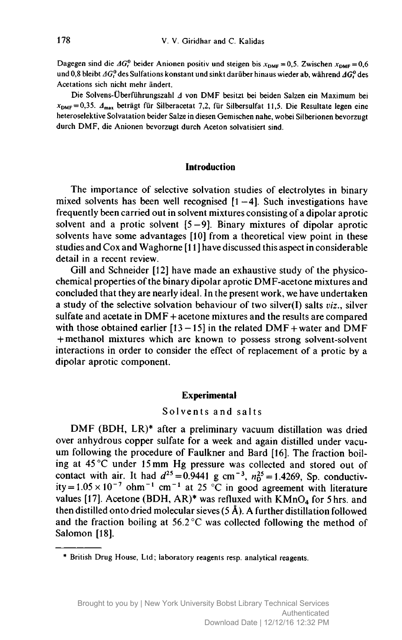Dagegen sind die  $AG<sub>i</sub><sup>0</sup>$  beider Anionen positiv und steigen bis  $x<sub>DMF</sub> = 0.5$ . Zwischen  $x<sub>DMF</sub> = 0.6$ und 0,8 bleibt  $AG_t^0$  des Sulfations konstant und sinkt darüber hinaus wieder ab, während  $AG_t^0$  des Acetations sich nicht mehr andert.

Die Solvens-Überführungszahl 4 von DMF besitzt bei beiden Salzen ein Maximum bei  $x_{\text{DMF}} = 0.35$ .  $A_{\text{max}}$  beträgt für Silberacetat 7,2, für Silbersulfat 11,5. Die Resultate legen eine heteroselektive Solvatation beider Salze in diesen Gemischen nahe, wobei Silberionen bevorzugt durch DMF, die Anionen bevorzugt durch Aceton solvatisiert sind.

## **Introduction**

The importance of selective solvation studies of electrolytes in binary mixed solvents has been well recognised  $[1 - 4]$ . Such investigations have frequently been carried out in solvent mixtures consisting of <sup>a</sup> dipolar aprotic solvent and a protic solvent  $[5 - 9]$ . Binary mixtures of dipolar aprotic solvents have some advantages [10] from <sup>a</sup> theoretical view point in these studies and Cox and Waghorne [11] have discussed this aspect in considerable detail in a recent review.

Gill and Schneider [12] have made an exhaustive study of the physicochemical properties of the binary dipolar aprotic DMF-acetone mixtures and concluded that they are nearly ideal. In the present work, we have undertaken a study of the selective solvation behaviour of two silver(I) salts viz., silver sulfate and acetate in DMF + acetone mixtures and the results are compared with those obtained earlier  $[13 - 15]$  in the related DMF + water and DMF + methanol mixtures which are known to possess strong solvent-solvent interactions in order to consider the effect of replacement of <sup>a</sup> protic by <sup>a</sup> dipolar aprotic component.

## Experimental

## Solvents and salts

DMF (BDH, LR)\* after <sup>a</sup> preliminary vacuum distillation was dried over anhydrous copper sulfate for <sup>a</sup> week and again distilled under vacuum following the procedure of Faulkner and Bard [16]. The fraction boiling at <sup>45</sup> °C under <sup>15</sup> mm Hg pressure was collected and stored out of contact with air. It had  $d^{25} = 0.9441$  g cm<sup>-3</sup>,  $n_0^{25} = 1.4269$ , Sp. conductivity =  $1.05 \times 10^{-7}$  ohm<sup>-1</sup> cm<sup>-1</sup> at 25 °C in good agreement with literature values [17]. Acetone (BDH, AR)\* was refluxed with  $KMnO<sub>4</sub>$  for 5 hrs. and then distilled onto dried molecular sieves  $(5 \text{ Å})$ . A further distillation followed and the fraction boiling at  $56.2^{\circ}$ C was collected following the method of Salomon [18].

<sup>\*</sup> British Drug House, Ltd; laboratory reagents resp. analytical reagents.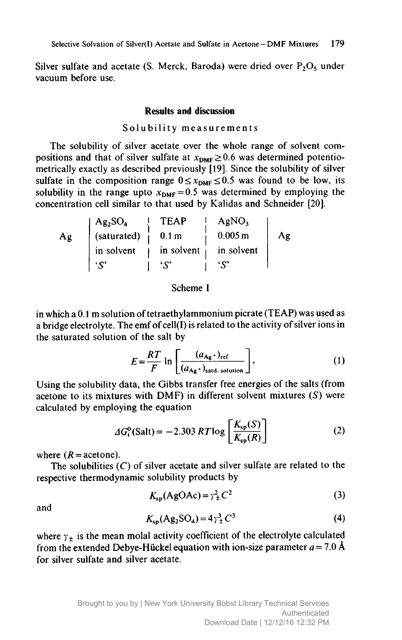Silver sulfate and acetate (S. Merck, Baroda) were dried over  $P_2O_5$  under vacuum before use.

## Results and discussion

### Solubility measurements

The solubility of silver acetate over the whole range of solvent compositions and that of silver sulfate at  $x_{\text{DMF}} \ge 0.6$  was determined potentiometrically exactly as described previously [19]. Since the solubility of silver sulfate in the composition range  $0 \le x_{\text{DMF}} \le 0.5$  was found to be low, its solubility in the range upto  $x_{\text{DMF}} = 0.5$  was determined by employing the concentration cell similar to that used by Kalidas and Schneider [20].

|    | $Ag_2SO_4$  | <b>TEAP</b>              | AgNO <sub>3</sub> |    |
|----|-------------|--------------------------|-------------------|----|
| Ag | (saturated) | 0.1 <sub>m</sub>         | 0.005 m           | Ag |
|    | in solvent  | in solvent $\frac{1}{x}$ | in solvent        |    |
|    | 'ς'         |                          |                   |    |

## Scheme I

in which a 0.1 m solution of tetraethylammonium picrate (TEAP) was used as a bridge electrolyte. The emf of cell(I) is related to the activity of silver ions in the saturated solution of the salt by

$$
E = \frac{RT}{F} \ln \left[ \frac{(a_{\text{Ag}}+)_{\text{ref}}}{(a_{\text{Ag}}+)_{\text{sad. solution}}} \right].
$$
 (1)

. Using the solubility data, the Gibbs transfer free energies of the salts (from acetone to its mixtures with DMF) in different solvent mixtures (S) were calculated by employing the equation

$$
\Delta G_t^{\rm o}(\text{Salt}) = -2.303 RT \log \left[ \frac{K_{\rm sp}(S)}{K_{\rm sp}(R)} \right] \tag{2}
$$

where  $(R = \text{acetone}).$ 

The solubilities  $(C)$  of silver acetate and silver sulfate are related to the respective thermodynamic solubility products by

$$
K_{\rm sp}(\rm AgOAc) = \gamma_{\pm}^{2} C^{2}
$$
 (3)

and

$$
K_{\rm sp}(\text{Ag}_2\text{SO}_4) = 4\gamma_{\pm}^3 C^3 \tag{4}
$$

where  $y_{\pm}$  is the mean molal activity coefficient of the electrolyte calculated from the extended Debye-Hückel equation with ion-size parameter  $a = 7.0 \text{ Å}$ for silver sulfate and silver acetate.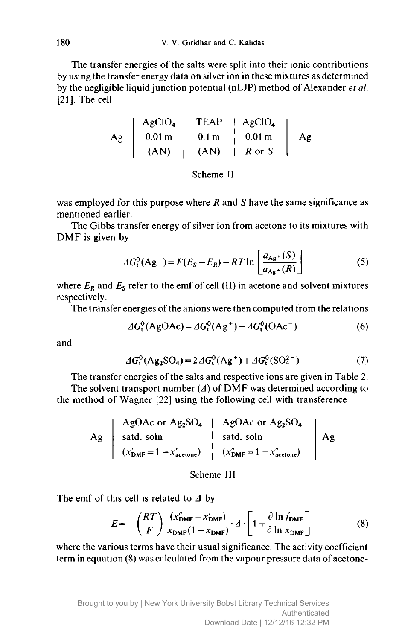The transfer energies of the salts were split into their ionic contributions by using the transfer energy data on silver ion in these mixtures as determined by the negligible liquid junction potential (nLJP) method of Alexander et al. [21]. The cell

$$
Ag \left| \begin{array}{ccc} AgClO_4 & TEAP & HAGClO_4 \\ 0.01 \text{ m} & 0.1 \text{ m} & 0.01 \text{ m} \\ (AN) & (AN) & Hor S \end{array} \right| \begin{array}{c} AgClO_4 \\ 0.01 \text{ m} & 0.01 \text{ m} \\ (AN) & Hor S \end{array}
$$

Scheme II

was employed for this purpose where  $R$  and  $S$  have the same significance as mentioned earlier.

The Gibbs transfer energy of silver ion from acetone to its mixtures with DMF is given by

$$
\Delta G_t^0(\mathbf{Ag}^+) = F(E_S - E_R) - RT \ln \left[ \frac{a_{\mathbf{Ag}} \cdot (S)}{a_{\mathbf{Ag}} \cdot (R)} \right] \tag{5}
$$

where  $E_R$  and  $E_S$  refer to the emf of cell (II) in acetone and solvent mixtures respectively.

The transfer energies of the anions were then computed from the relations

$$
\Delta G_t^0(\text{AgOAc}) = \Delta G_t^0(\text{Ag}^+) + \Delta G_t^0(\text{OAc}^-)
$$
 (6)

and

$$
\Delta G_t^0(\text{Ag}_2\text{SO}_4) = 2 \Delta G_t^0(\text{Ag}^+) + \Delta G_t^0(\text{SO}_4^{2-})
$$
 (7)

The transfer energies of the salts and respective ions are given in Table 2. The solvent transport number  $(\Lambda)$  of DMF was determined according to the method of Wagner [22] using the following cell with transference

> Ag AgOAc or  $Ag_2SO_4$ satd. soln  $(x'_{\text{DMF}} = 1 - x'_{\text{acetone}})$ AgOAc or  $Ag_2SO_4$ satd. soln  $(x_{\text{DMF}} = 1 - x_{\text{acetone}})$ Ag

## Scheme III

The emf of this cell is related to  $\Delta$  by

$$
E = -\left(\frac{RT}{F}\right) \frac{(x_{\text{DMF}}^{\prime} - x_{\text{DMF}}^{\prime})}{x_{\text{DMF}}(1 - x_{\text{DMF}})} \cdot \Delta \cdot \left[1 + \frac{\partial \ln f_{\text{DMF}}}{\partial \ln x_{\text{DMF}}}\right]
$$
(8)

where the various terms have their usual significance. The activity coefficient term in equation (8) was calculated from the vapour pressure data of acetone-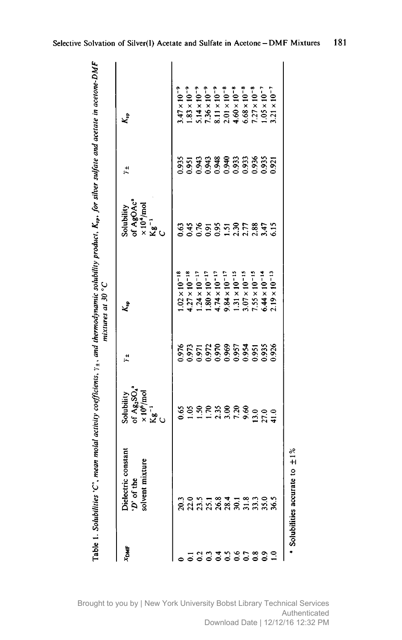| XDMF           | Dielectric constant<br>solvent mixture<br>D' of the | of $Ag_2SO_4^*$<br>× 10 <sup>6</sup> /mol<br>Kg <sup>-1</sup><br>Solubility | $\ddot{x}$                                         | ٷ                                                  | of AgOAcª<br>$\times 10^4$ /mol<br>Kg <sup>-1</sup><br>Solubility | $\ddot{x}$ | k,                                                                      |  |
|----------------|-----------------------------------------------------|-----------------------------------------------------------------------------|----------------------------------------------------|----------------------------------------------------|-------------------------------------------------------------------|------------|-------------------------------------------------------------------------|--|
|                |                                                     | 0.65                                                                        | 0.976                                              | $.02 \times 10^{-18}$                              | 0.63                                                              | 0.935      | $47 \times 10^{-9}$                                                     |  |
| $\overline{5}$ |                                                     | $\frac{105}{20}$                                                            |                                                    | $27 \times 10^{-18}$                               |                                                                   |            | $83 \times 10^{-9}$                                                     |  |
|                | 009118118009<br>0009188051098                       |                                                                             | 0.973<br>0.972<br>0.972<br>0.969<br>0.985<br>0.986 | $.24 \times 10^{-17}$                              | 285577887                                                         |            |                                                                         |  |
| antheres       |                                                     | $1.50$<br>$1.70$<br>$2.30$<br>$7.20$                                        |                                                    | $.80 \times 10^{-17}$                              |                                                                   |            | $5.14 \times 10^{-9}$<br>7.36 × 10 <sup>-9</sup>                        |  |
|                |                                                     |                                                                             |                                                    | $4.74 \times 10^{-17}$                             |                                                                   |            |                                                                         |  |
|                |                                                     |                                                                             |                                                    |                                                    |                                                                   |            | $8.11 \times 10^{-9}$<br>$2.01 \times 10^{-8}$<br>4.60 $\times 10^{-8}$ |  |
|                |                                                     |                                                                             |                                                    | $9.84 \times 10^{-17}$<br>1.31 × 10 <sup>-15</sup> |                                                                   |            |                                                                         |  |
|                |                                                     | 9.60                                                                        |                                                    | $9.07 \times 10^{-15}$                             |                                                                   |            | $6.68 \times 10^{-8}$                                                   |  |
|                |                                                     | 3.0                                                                         |                                                    | $1.55 \times 10^{-15}$                             |                                                                   |            | $7.27 \times 10^{-8}$                                                   |  |
|                |                                                     | 27.0                                                                        |                                                    | $6.44 \times 10^{-14}$                             |                                                                   |            | $1.05 \times 10^{-7}$                                                   |  |
|                |                                                     | 41.0                                                                        |                                                    | $2.19 \times 10^{-13}$                             | 6.15                                                              |            | $1.21 \times 10^{-7}$                                                   |  |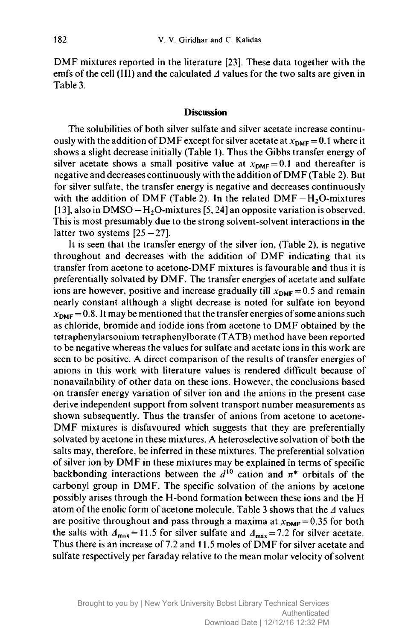DMF mixtures reported in the literature [23]. These data together with the emfs of the cell (III) and the calculated  $\Delta$  values for the two salts are given in Table 3.

## **Discussion**

The solubilities of both silver sulfate and silver acetate increase continuously with the addition of DMF except for silver acetate at  $x_{\text{DMF}} = 0.1$  where it shows <sup>a</sup> slight decrease initially (Table 1). Thus the Gibbs transfer energy of silver acetate shows a small positive value at  $x_{\text{DMF}} = 0.1$  and thereafter is negative and decreases continuously with the addition ofDMF (Table 2). But for silver sulfate, the transfer energy is negative and decreases continuously with the addition of DMF (Table 2). In the related  $DMF - H_2O$ -mixtures [13], also in DMSO –  $H_2O$ -mixtures [5, 24] an opposite variation is observed. This is most presumably due to the strong solvent-solvent interactions in the latter two systems  $[25 - 27]$ .

It is seen that the transfer energy of the silver ion, (Table 2), is negative throughout and decreases with the addition of DMF indicating that its transfer from acetone to acetone-DMF mixtures is favourable and thus it is preferentially solvated by DMF. The transfer energies of acetate and sulfate ions are however, positive and increase gradually till  $x_{DMF} = 0.5$  and remain nearly constant although <sup>a</sup> slight decrease is noted for sulfate ion beyond  $x_{\text{DMF}} = 0.8$ . It may be mentioned that the transfer energies of some anions such as chloride, bromide and iodide ions from acetone to DMF obtained by the tetraphenylarsonium tetraphenylborate (TATB) method have been reported to be negative whereas the values for sulfate and acetate ions in this work are seen to be positive. A direct comparison of the results of transfer energies of anions in this work with literature values is rendered difficult because of nonavailability of other data on these ions. However, the conclusions based on transfer energy variation of silver ion and the anions in the present case derive independent support from solvent transport number measurements as shown subsequently. Thus the transfer of anions from acetone to acetone-DMF mixtures is disfavoured which suggests that they are preferentially solvated by acetone in these mixtures. A heteroselective solvation of both the salts may, therefore, be inferred in these mixtures. The preferential solvation of silver ion by DMF in these mixtures may be explained in terms of specific backbonding interactions between the  $d^{10}$  cation and  $\pi^*$  orbitals of the carbonyl group in DMF. The specific solvation of the anions by acetone possibly arises through the H-bond formation between these ions and the H atom of the enolic form of acetone molecule. Table 3 shows that the  $\Delta$  values are positive throughout and pass through a maxima at  $x_{DMF} = 0.35$  for both the salts with  $\Delta_{\text{max}} = 11.5$  for silver sulfate and  $\Delta_{\text{max}} = 7.2$  for silver acetate. Thus there is an increase of 7.2 and 11.5 moles of DMF for silver acetate and sulfate respectively per faraday relative to the mean molar velocity of solvent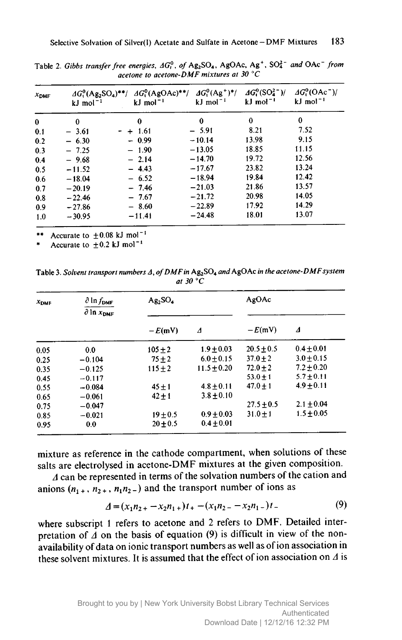| $x_{\text{DMF}}$ | $AG_1^0(Ag_2SO_4)^{**}$ /<br>$kJ$ mol <sup>-1</sup> | $AG_1^0(AgOAc)$ **/<br>$kJ$ mol <sup>-1</sup> | $\Delta G_1^0(\text{Ag}^+)^*/$<br>$kJ$ mol <sup>-1</sup> | $\triangle 4G_1^0(SO_4^{2-})/$<br>$kJ$ mol <sup><math>-1</math></sup> | $\Delta G_{1}^{0}$ (OAc <sup>-</sup> )/<br>$kJ$ mol <sup>-1</sup> |
|------------------|-----------------------------------------------------|-----------------------------------------------|----------------------------------------------------------|-----------------------------------------------------------------------|-------------------------------------------------------------------|
| $\bf{0}$         | $\bf{0}$                                            | $\mathbf 0$                                   | 0                                                        | $\bf{0}$                                                              | 0                                                                 |
| 0.1              | $-3.61$                                             | $- + 1.61$                                    | $-5.91$                                                  | 8.21                                                                  | 7.52                                                              |
| 0.2              | $-6.30$                                             | $-0.99$                                       | $-10.14$                                                 | 13.98                                                                 | 9.15                                                              |
| 0.3              | $-7.25$                                             | $-1.90$                                       | $-13.05$                                                 | 18.85                                                                 | 11.15                                                             |
| 0.4              | $-9.68$                                             | $-2.14$                                       | $-14.70$                                                 | 19.72                                                                 | 12.56                                                             |
| 0.5              | $-11.52$                                            | $-4.43$                                       | $-17.67$                                                 | 23.82                                                                 | 13.24                                                             |
| 0.6              | $-18.04$                                            | $-6.52$                                       | $-18.94$                                                 | 19.84                                                                 | 12.42                                                             |
| 0.7              | $-20.19$                                            | $-7.46$                                       | $-21.03$                                                 | 21.86                                                                 | 13.57                                                             |
| 0.8              | $-22.46$                                            | $-7.67$                                       | $-21.72$                                                 | 20.98                                                                 | 14.05                                                             |
| 0.9              | $-27.86$                                            | $-8.60$                                       | $-22.89$                                                 | 17.92                                                                 | 14.29                                                             |
| 1.0              | $-30.95$                                            | $-11.41$                                      | $-24.48$                                                 | 18.01                                                                 | 13.07                                                             |

Table 2. Gibbs transfer free energies,  $AG_t^0$ , of Ag<sub>2</sub>SO<sub>4</sub>, AgOAc, Ag<sup>+</sup>, SO<sub>4</sub><sup>-</sup> and OAc<sup>-</sup> from acetone to acetone-DMF mixtures at 30  $^{\circ}$ C

Accurate to  $\pm 0.08$  kJ mol<sup>-1</sup>

Accurate to  $\pm 0.2$  kJ mol<sup>-1</sup>

Table 3. Solvent transport numbers  $\Delta$ , of DMF in Ag<sub>2</sub>SO<sub>4</sub> and AgOAc in the acetone-DMF system at 30 $\degree$ C

| $x_{\text{DMF}}$ | $\partial$ ln $f_{\rm DMF}$<br>$\partial$ in $x_{\text{DMF}}$ | $Ag_2SO_4$ |                 | AgOAc          |                |
|------------------|---------------------------------------------------------------|------------|-----------------|----------------|----------------|
|                  |                                                               | $-E(mV)$   | Δ               | $-E(mV)$       | Δ              |
| 0.05             | 0.0                                                           | $105 + 2$  | $1.9 + 0.03$    | $20.5 + 0.5$   | $0.4 + 0.01$   |
| 0.25             | $-0.104$                                                      | $75 + 2$   | $6.0 + 0.15$    | $37.0 + 2$     | $3.0 + 0.15$   |
| 0.35             | $-0.125$                                                      | $115 + 2$  | $11.5 \pm 0.20$ | $72.0 \pm 2$   | $7.2 \pm 0.20$ |
| 0.45             | $-0.117$                                                      |            |                 | $53.0 + 1$     | $5.7 \pm 0.11$ |
| 0.55             | $-0.084$                                                      | $45 + 1$   | $4.8 + 0.11$    | $47.0 + 1$     | $4.9 \pm 0.11$ |
| 0.65             | $-0.061$                                                      | $42 + 1$   | $3.8 + 0.10$    |                |                |
| 0.75             | $-0.047$                                                      |            |                 | $27.5 \pm 0.5$ | $2.1 \pm 0.04$ |
| 0.85             | $-0.021$                                                      | $19 + 0.5$ | $0.9 + 0.03$    | $31.0 + 1$     | $1.5 + 0.05$   |
| 0.95             | 0.0                                                           | $20 + 0.5$ | $0.4 \pm 0.01$  |                |                |

mixture as reference in the cathode compartment, when solutions of these salts are electrolysed in acetone-DMF mixtures at the given composition.

 $\Delta$  can be represented in terms of the solvation numbers of the cation and anions  $(n_1, n_2, n_1n_2)$  and the transport number of ions as

$$
\Delta = (x_1 n_{2+} - x_2 n_{1+})t_+ - (x_1 n_{2-} - x_2 n_{1-})t_- \tag{9}
$$

where subscript 1 refers to acetone and 2 refers to DMF. Detailed interpretation of  $\overline{A}$  on the basis of equation (9) is difficult in view of the nonavailability of data on ionic transport numbers as well as of ion association in these solvent mixtures. It is assumed that the effect of ion association on  $\Lambda$  is